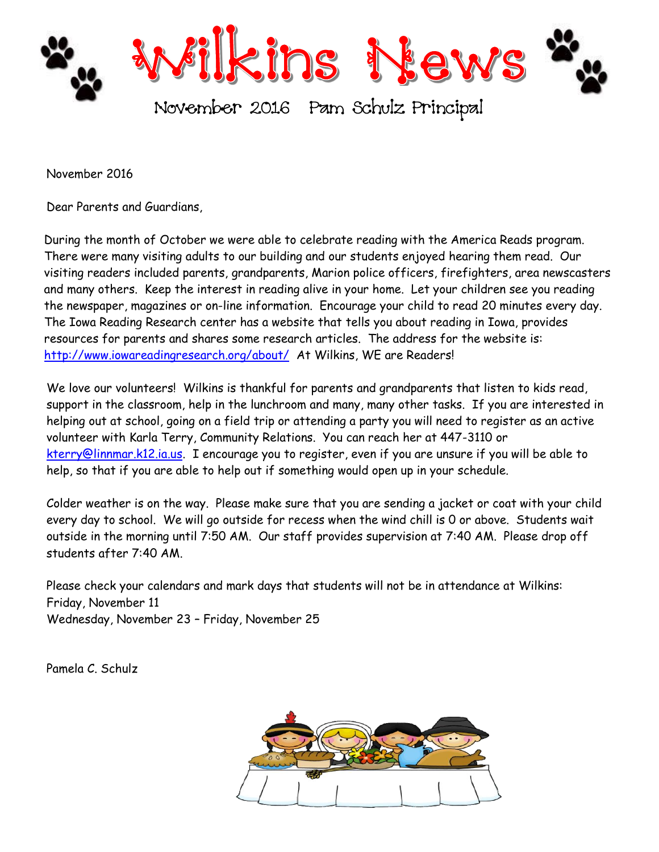

November 2016

Dear Parents and Guardians,

During the month of October we were able to celebrate reading with the America Reads program. There were many visiting adults to our building and our students enjoyed hearing them read. Our visiting readers included parents, grandparents, Marion police officers, firefighters, area newscasters and many others. Keep the interest in reading alive in your home. Let your children see you reading the newspaper, magazines or on-line information. Encourage your child to read 20 minutes every day. The Iowa Reading Research center has a website that tells you about reading in Iowa, provides resources for parents and shares some research articles. The address for the website is: <http://www.iowareadingresearch.org/about/>At Wilkins, WE are Readers!

We love our volunteers! Wilkins is thankful for parents and grandparents that listen to kids read, support in the classroom, help in the lunchroom and many, many other tasks. If you are interested in helping out at school, going on a field trip or attending a party you will need to register as an active volunteer with Karla Terry, Community Relations. You can reach her at 447-3110 or [kterry@linnmar.k12.ia.us.](mailto:kterry@linnmar.k12.ia.us) I encourage you to register, even if you are unsure if you will be able to help, so that if you are able to help out if something would open up in your schedule.

Colder weather is on the way. Please make sure that you are sending a jacket or coat with your child every day to school. We will go outside for recess when the wind chill is 0 or above. Students wait outside in the morning until 7:50 AM. Our staff provides supervision at 7:40 AM. Please drop off students after 7:40 AM.

Please check your calendars and mark days that students will not be in attendance at Wilkins: Friday, November 11 Wednesday, November 23 – Friday, November 25

Pamela C. Schulz

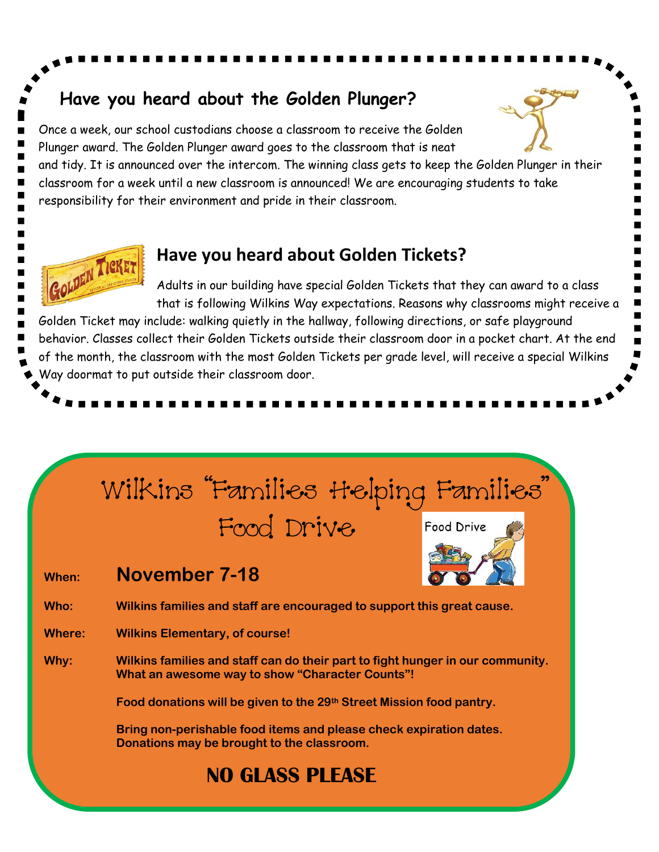### **Have you heard about the Golden Plunger?**

Once a week, our school custodians choose a classroom to receive the Golden Plunger award. The Golden Plunger award goes to the classroom that is neat

and tidy. It is announced over the intercom. The winning class gets to keep the Golden Plunger in their classroom for a week until a new classroom is announced! We are encouraging students to take responsibility for their environment and pride in their classroom.

### **Have you heard about Golden Tickets?**

Adults in our building have special Golden Tickets that they can award to a class that is following Wilkins Way expectations. Reasons why classrooms might receive a

Golden Ticket may include: walking quietly in the hallway, following directions, or safe playground behavior. Classes collect their Golden Tickets outside their classroom door in a pocket chart. At the end of the month, the classroom with the most Golden Tickets per grade level, will receive a special Wilkins Way doormat to put outside their classroom door.

# Wilkins "Families ttelping Families"

## Food Drive

**When: November 7-18**

GOLDEN TICKE



**Who: Wilkins families and staff are encouraged to support this great cause.**

**Where: Wilkins Elementary, of course!**

**Why: Wilkins families and staff can do their part to fight hunger in our community. What an awesome way to show "Character Counts"!**

**Food donations will be given to the 29th Street Mission food pantry.**

**Bring non-perishable food items and please check expiration dates. Donations may be brought to the classroom.**

## **NO GLASS PLEASE**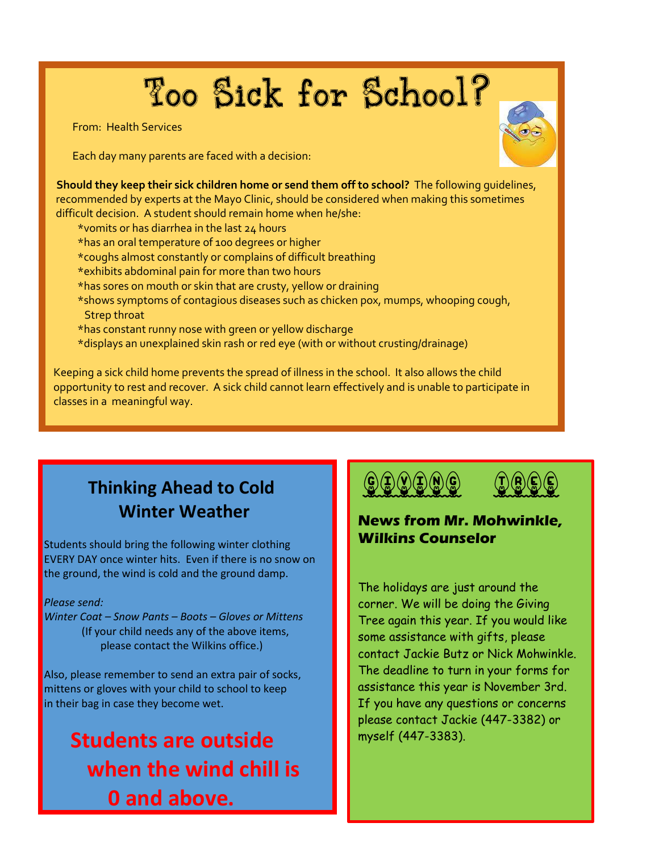# Too Sick for School?

From: Health Services

I

Each day many parents are faced with a decision:

 **Should they keep their sick children home or send them off to school?** The following guidelines, recommended by experts at the Mayo Clinic, should be considered when making this sometimes difficult decision. A student should remain home when he/she:

- \*vomits or has diarrhea in the last 24 hours
- \*has an oral temperature of 100 degrees or higher
- \*coughs almost constantly or complains of difficult breathing
- \*exhibits abdominal pain for more than two hours
- \*has sores on mouth or skin that are crusty, yellow or draining
- \*shows symptoms of contagious diseases such as chicken pox, mumps, whooping cough, Strep throat
- \*has constant runny nose with green or yellow discharge
- \*displays an unexplained skin rash or red eye (with or without crusting/drainage)

 Keeping a sick child home prevents the spread of illness in the school. It also allows the child opportunity to rest and recover. A sick child cannot learn effectively and is unable to participate in classes in a meaningful way.

## **Thinking Ahead to Cold Winter Weather**

Students should bring the following winter clothing EVERY DAY once winter hits. Even if there is no snow on the ground, the wind is cold and the ground damp.

#### *Please send:*

*Winter Coat – Snow Pants – Boots – Gloves or Mittens* (If your child needs any of the above items, please contact the Wilkins office.)

Also, please remember to send an extra pair of socks, mittens or gloves with your child to school to keep in their bag in case they become wet.

## **Students are outside when the wind chill is 0 and above.**





#### **News from Mr. Mohwinkle, Wilkins Counselor**

The holidays are just around the corner. We will be doing the Giving Tree again this year. If you would like some assistance with gifts, please contact Jackie Butz or Nick Mohwinkle. The deadline to turn in your forms for assistance this year is November 3rd. If you have any questions or concerns please contact Jackie (447-3382) or myself (447-3383).

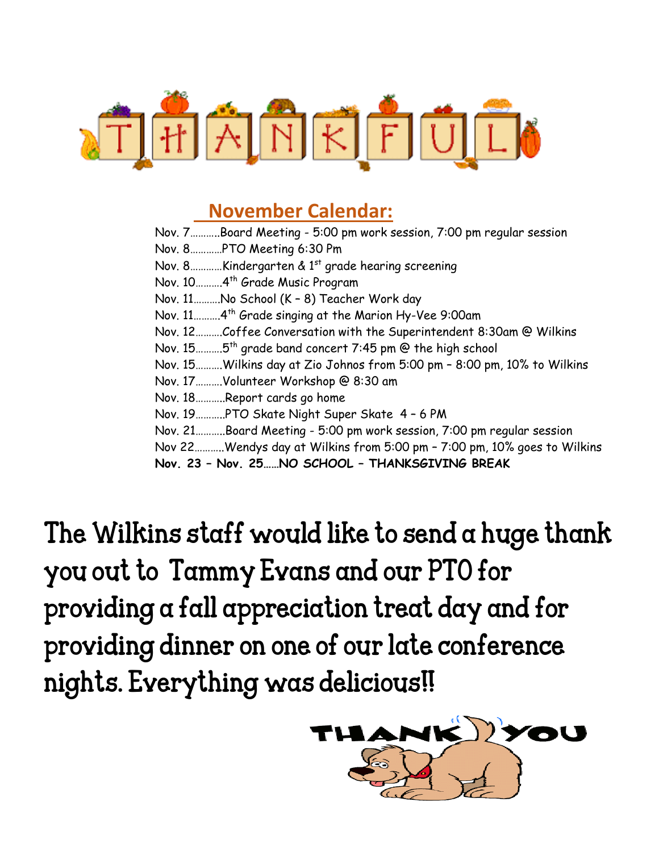

### **November Calendar:**

Nov. 7………..Board Meeting - 5:00 pm work session, 7:00 pm regular session Nov. 8…………PTO Meeting 6:30 Pm Nov. 8.............Kindergarten & 1<sup>st</sup> grade hearing screening Nov. 10……….4th Grade Music Program Nov. 11……….No School (K – 8) Teacher Work day Nov. 11……….4th Grade singing at the Marion Hy-Vee 9:00am Nov. 12……….Coffee Conversation with the Superintendent 8:30am @ Wilkins Nov. 15……….5th grade band concert 7:45 pm @ the high school Nov. 15……….Wilkins day at Zio Johnos from 5:00 pm – 8:00 pm, 10% to Wilkins Nov. 17……….Volunteer Workshop @ 8:30 am Nov. 18………..Report cards go home Nov. 19………..PTO Skate Night Super Skate 4 – 6 PM Nov. 21………..Board Meeting - 5:00 pm work session, 7:00 pm regular session Nov 22………..Wendys day at Wilkins from 5:00 pm – 7:00 pm, 10% goes to Wilkins **Nov. 23 – Nov. 25……NO SCHOOL – THANKSGIVING BREAK**

The Wilkins staff would like to send a huge thank you out to Tammy Evans and our PTO for providing a fall appreciation treat day and for providing dinner on one of our late conference nights. Everything was delicious!!

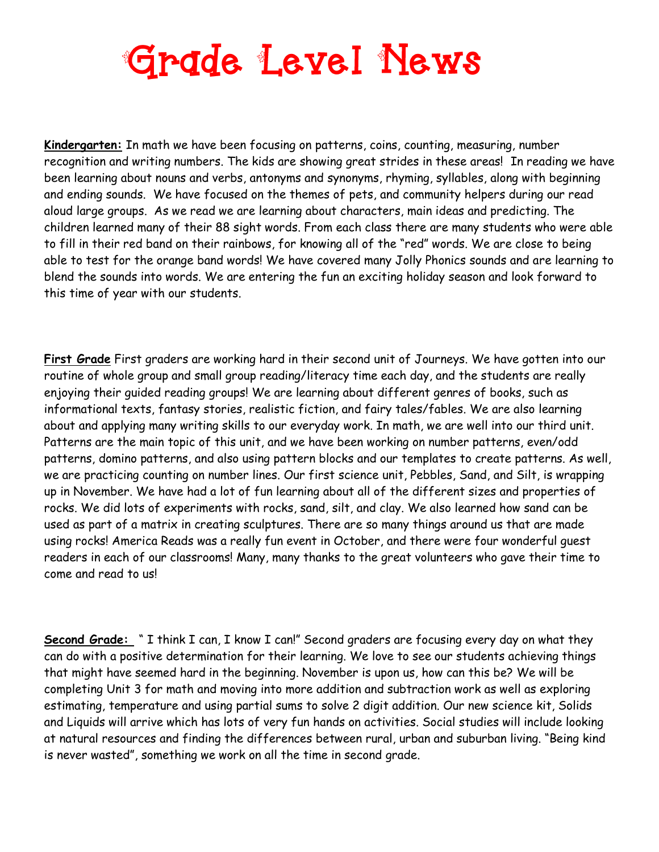# **Grade Level News**

**Kindergarten:** In math we have been focusing on patterns, coins, counting, measuring, number recognition and writing numbers. The kids are showing great strides in these areas! In reading we have been learning about nouns and verbs, antonyms and synonyms, rhyming, syllables, along with beginning and ending sounds. We have focused on the themes of pets, and community helpers during our read aloud large groups. As we read we are learning about characters, main ideas and predicting. The children learned many of their 88 sight words. From each class there are many students who were able to fill in their red band on their rainbows, for knowing all of the "red" words. We are close to being able to test for the orange band words! We have covered many Jolly Phonics sounds and are learning to blend the sounds into words. We are entering the fun an exciting holiday season and look forward to this time of year with our students.

**First Grade** First graders are working hard in their second unit of Journeys. We have gotten into our routine of whole group and small group reading/literacy time each day, and the students are really enjoying their guided reading groups! We are learning about different genres of books, such as informational texts, fantasy stories, realistic fiction, and fairy tales/fables. We are also learning about and applying many writing skills to our everyday work. In math, we are well into our third unit. Patterns are the main topic of this unit, and we have been working on number patterns, even/odd patterns, domino patterns, and also using pattern blocks and our templates to create patterns. As well, we are practicing counting on number lines. Our first science unit, Pebbles, Sand, and Silt, is wrapping up in November. We have had a lot of fun learning about all of the different sizes and properties of rocks. We did lots of experiments with rocks, sand, silt, and clay. We also learned how sand can be used as part of a matrix in creating sculptures. There are so many things around us that are made using rocks! America Reads was a really fun event in October, and there were four wonderful guest readers in each of our classrooms! Many, many thanks to the great volunteers who gave their time to come and read to us!

**Second Grade:** " I think I can, I know I can!" Second graders are focusing every day on what they can do with a positive determination for their learning. We love to see our students achieving things that might have seemed hard in the beginning. November is upon us, how can this be? We will be completing Unit 3 for math and moving into more addition and subtraction work as well as exploring estimating, temperature and using partial sums to solve 2 digit addition. Our new science kit, Solids and Liquids will arrive which has lots of very fun hands on activities. Social studies will include looking at natural resources and finding the differences between rural, urban and suburban living. "Being kind is never wasted", something we work on all the time in second grade.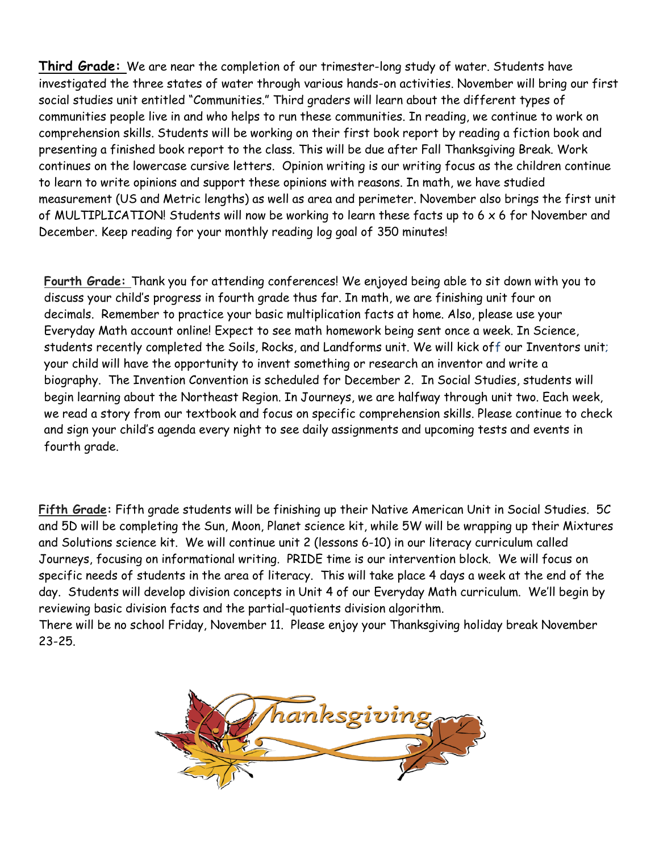**Third Grade:** We are near the completion of our trimester-long study of water. Students have investigated the three states of water through various hands-on activities. November will bring our first social studies unit entitled "Communities." Third graders will learn about the different types of communities people live in and who helps to run these communities. In reading, we continue to work on comprehension skills. Students will be working on their first book report by reading a fiction book and presenting a finished book report to the class. This will be due after Fall Thanksgiving Break. Work continues on the lowercase cursive letters. Opinion writing is our writing focus as the children continue to learn to write opinions and support these opinions with reasons. In math, we have studied measurement (US and Metric lengths) as well as area and perimeter. November also brings the first unit of MULTIPLICATION! Students will now be working to learn these facts up to 6 x 6 for November and December. Keep reading for your monthly reading log goal of 350 minutes!

**Fourth Grade:** Thank you for attending conferences! We enjoyed being able to sit down with you to discuss your child's progress in fourth grade thus far. In math, we are finishing unit four on decimals. Remember to practice your basic multiplication facts at home. Also, please use your Everyday Math account online! Expect to see math homework being sent once a week. In Science, students recently completed the Soils, Rocks, and Landforms unit. We will kick off our Inventors unit; your child will have the opportunity to invent something or research an inventor and write a biography. The Invention Convention is scheduled for December 2. In Social Studies, students will begin learning about the Northeast Region. In Journeys, we are halfway through unit two. Each week, we read a story from our textbook and focus on specific comprehension skills. Please continue to check and sign your child's agenda every night to see daily assignments and upcoming tests and events in fourth grade.

**Fifth Grade:** Fifth grade students will be finishing up their Native American Unit in Social Studies. 5C and 5D will be completing the Sun, Moon, Planet science kit, while 5W will be wrapping up their Mixtures and Solutions science kit. We will continue unit 2 (lessons 6-10) in our literacy curriculum called Journeys, focusing on informational writing. PRIDE time is our intervention block. We will focus on specific needs of students in the area of literacy. This will take place 4 days a week at the end of the day. Students will develop division concepts in Unit 4 of our Everyday Math curriculum. We'll begin by reviewing basic division facts and the partial-quotients division algorithm.

There will be no school Friday, November 11. Please enjoy your Thanksgiving holiday break November 23-25.

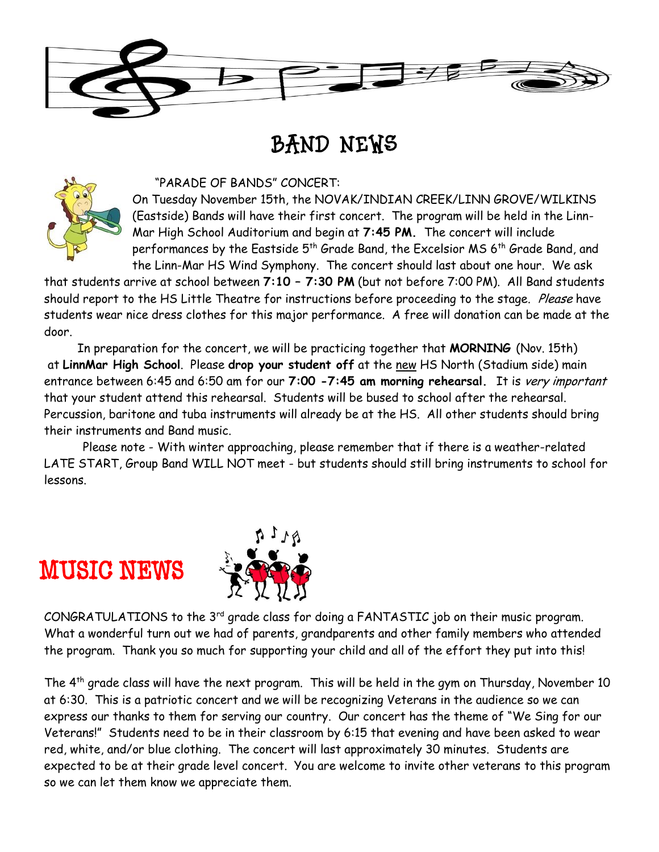

## BAND NEWS



#### "PARADE OF BANDS" CONCERT:

On Tuesday November 15th, the NOVAK/INDIAN CREEK/LINN GROVE/WILKINS (Eastside) Bands will have their first concert. The program will be held in the Linn-Mar High School Auditorium and begin at **7:45 PM.** The concert will include performances by the Eastside 5<sup>th</sup> Grade Band, the Excelsior MS 6<sup>th</sup> Grade Band, and the Linn-Mar HS Wind Symphony. The concert should last about one hour. We ask

that students arrive at school between **7:10 – 7:30 PM** (but not before 7:00 PM). All Band students should report to the HS Little Theatre for instructions before proceeding to the stage. Please have students wear nice dress clothes for this major performance. A free will donation can be made at the door.

In preparation for the concert, we will be practicing together that **MORNING** (Nov. 15th) at **LinnMar High School**. Please **drop your student off** at the new HS North (Stadium side) main entrance between 6:45 and 6:50 am for our **7:00 -7:45 am morning rehearsal.** It is very important that your student attend this rehearsal. Students will be bused to school after the rehearsal. Percussion, baritone and tuba instruments will already be at the HS. All other students should bring their instruments and Band music.

Please note - With winter approaching, please remember that if there is a weather-related LATE START, Group Band WILL NOT meet - but students should still bring instruments to school for lessons.

## MUSIC NEWS



CONGRATULATIONS to the 3<sup>rd</sup> grade class for doing a FANTASTIC job on their music program. What a wonderful turn out we had of parents, grandparents and other family members who attended the program. Thank you so much for supporting your child and all of the effort they put into this!

The 4th grade class will have the next program. This will be held in the gym on Thursday, November 10 at 6:30. This is a patriotic concert and we will be recognizing Veterans in the audience so we can express our thanks to them for serving our country. Our concert has the theme of "We Sing for our Veterans!" Students need to be in their classroom by 6:15 that evening and have been asked to wear red, white, and/or blue clothing. The concert will last approximately 30 minutes. Students are expected to be at their grade level concert. You are welcome to invite other veterans to this program so we can let them know we appreciate them.